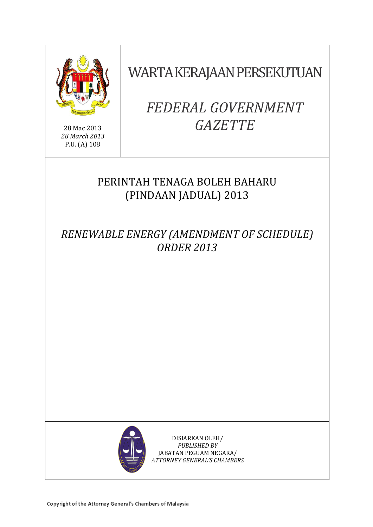

28 Mac 2013 *28 March 2013* P.U. (A) 108

WARTA KERAJAAN PERSEKUTUAN

# *FEDERAL GOVERNMENT GAZETTE*

# PERINTAH TENAGA BOLEH BAHARU (PINDAAN JADUAL) 2013

*RENEWABLE ENERGY (AMENDMENT OF SCHEDULE) ORDER 2013*



DISIARKAN OLEH/ *PUBLISHED BY* JABATAN PEGUAM NEGARA/ *ATTORNEY GENERAL'S CHAMBERS*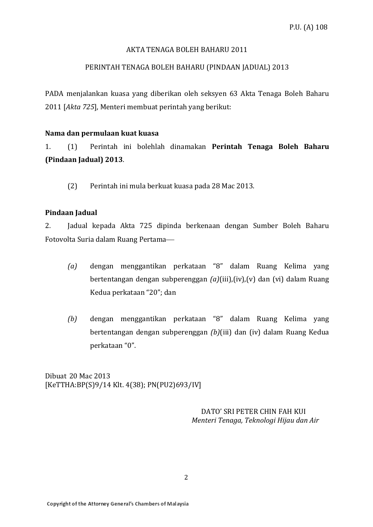# AKTA TENAGA BOLEH BAHARU 2011

# PERINTAH TENAGA BOLEH BAHARU (PINDAAN JADUAL) 2013

PADA menjalankan kuasa yang diberikan oleh seksyen 63 Akta Tenaga Boleh Baharu 2011 [*Akta 725*], Menteri membuat perintah yang berikut:

#### **Nama dan permulaan kuat kuasa**

1. (1) Perintah ini bolehlah dinamakan **Perintah Tenaga Boleh Baharu (Pindaan Jadual) 2013**.

(2) Perintah ini mula berkuat kuasa pada 28 Mac 2013.

#### **Pindaan Jadual**

2. Jadual kepada Akta 725 dipinda berkenaan dengan Sumber Boleh Baharu Fotovolta Suria dalam Ruang Pertama

- *(a)* dengan menggantikan perkataan "8" dalam Ruang Kelima yang bertentangan dengan subperenggan *(a)*(iii),(iv),(v) dan (vi) dalam Ruang Kedua perkataan "20"; dan
- *(b)* dengan menggantikan perkataan "8" dalam Ruang Kelima yang bertentangan dengan subperenggan *(b)*(iii) dan (iv) dalam Ruang Kedua perkataan "0".

Dibuat 20 Mac 2013 [KeTTHA:BP(S)9/14 Klt. 4(38); PN(PU2)693/IV]

> DATO' SRI PETER CHIN FAH KUI  *Menteri Tenaga, Teknologi Hijau dan Air*